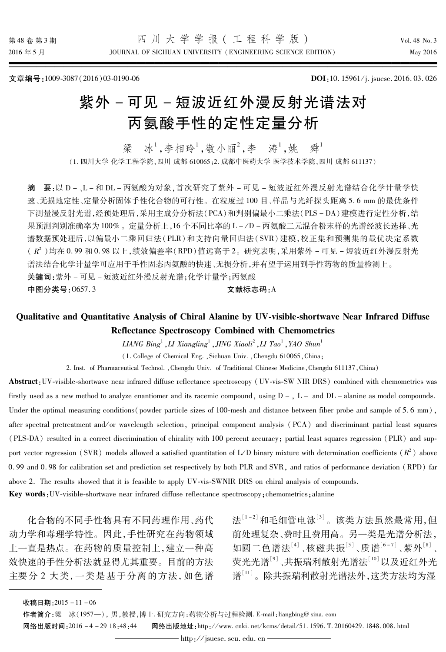文章编号:1009-3087(2016)03-0190-06

DOI:10.15961/j. jsuese. 2016.03.026

# 紫外-可见-短波近红外漫反射光谱法对 丙氨酸手性的定性定量分析

梁 冰1,李相玲1,敬小丽2,李 涛1,姚 舜1

(1. 四川大学 化学工程学院,四川 成都 610065;2. 成都中医药大学 医学技术学院,四川 成都 611137)

摘 要:以 D -、L - 和 DL - 丙氨酸为对象, 首次研究了紫外 - 可见 - 短波近红外漫反射光谱结合化学计量学快 速、无损地定性、定量分析固体手性化合物的可行性。在粒度过100目、样品与光纤探头距离5.6 mm 的最优条件 下测量漫反射光谱,经预处理后,采用主成分分析法(PCA)和判别偏最小二乘法(PLS-DA)建模进行定性分析,结 果预测判别准确率为100%。定量分析上,16个不同比率的 L-/D-丙氨酸二元混合粉末样的光谱经波长选择、光 谱数据预处理后,以偏最小二乘回归法(PLR)和支持向量回归法(SVR)建模,校正集和预测集的最优决定系数 ( $R^2$ )均在0.99和0.98以上,绩效偏差率(RPD)值远高于2。研究表明,采用紫外-可见-短波近红外漫反射光 谱法结合化学计量学可应用于手性固态丙氨酸的快速、无损分析,并有望于运用到手性药物的质量检测上。 关键词:紫外-可见-短波近红外漫反射光谱:化学计量学:丙氨酸 中图分类号:0657.3 文献标志码:A

# Qualitative and Quantitative Analysis of Chiral Alanine by UV-visible-shortwave Near Infrared Diffuse **Reflectance Spectroscopy Combined with Chemometrics**

LIANG Bing<sup>1</sup>, LI Xiangling<sup>1</sup>, JING Xiaoli<sup>2</sup>, LI Tao<sup>1</sup>, YAO Shun<sup>1</sup>

(1. College of Chemical Eng., Sichuan Univ., Chengdu 610065, China;

2. Inst. of Pharmaceutical Technol. , Chengdu Univ. of Traditional Chinese Medicine, Chengdu 611137, China)

Abstract: UV-visible-shortwave near infrared diffuse reflectance spectroscopy (UV-vis-SW NIR DRS) combined with chemometrics was firstly used as a new method to analyze enantiomer and its racemic compound, using  $D - I$ ,  $L -$  and  $DL -$  alanine as model compounds. Under the optimal measuring conditions (powder particle sizes of 100-mesh and distance between fiber probe and sample of 5.6 mm), after spectral pretreatment and/or wavelength selection, principal component analysis (PCA) and discriminant partial least squares (PLS-DA) resulted in a correct discrimination of chirality with 100 percent accuracy; partial least squares regression (PLR) and support vector regression (SVR) models allowed a satisfied quantitation of L/D binary mixture with determination coefficients ( $R^2$ ) above 0.99 and 0.98 for calibration set and prediction set respectively by both PLR and SVR, and ratios of performance deviation (RPD) far above 2. The results showed that it is feasible to apply UV-vis-SWNIR DRS on chiral analysis of compounds.

Key words: UV-visible-shortwave near infrared diffuse reflectance spectroscopy; chemometrics; alanine

化合物的不同手性物具有不同药理作用、药代 动力学和毒理学特性。因此,手性研究在药物领域 上一直是热点。在药物的质量控制上,建立一种高 效快速的手性分析法就显得尤其重要。目前的方法 主要分2大类,一类是基于分离的方法,如色谱 法[1-2] 和毛细管电泳[3]。该类方法虽然最常用. 但 前处理复杂、费时且费用高。另一类是光谱分析法。 如圆二色谱法[4]、核磁共振[5]、质谱[6-7]、紫外[8]、 荧光光谱<sup>[9]</sup>、共振瑞利散射光谱法<sup>[10]</sup>以及近红外光 谱[11]。除共振瑞利散射光谱法外,这类方法均为湿

收稿日期: 2015-11-06

作者简介:梁 冰(1957-), 男,教授,博士.研究方向:药物分析与过程检测. E-mail:liangbing@sina.com

网络出版时间: 2016-4-29 18:48:44 网络出版地址: http://www.cnki.net/kcms/detail/51.1596.T.20160429.1848.008.html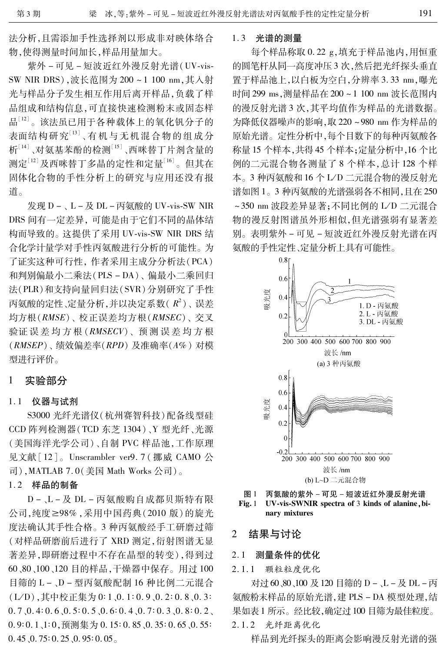法分析,且需添加手性选择剂以形成非对映体络合 物,使得测量时间加长,样品用量加大。

紫外-可见-短波近红外漫反射光谱(UV-vis-SW NIR DRS),波长范围为 200~1 100 nm,其入射 光与样品分子发生相互作用后离开样品,负载了样 品组成和结构信息,可直接快速检测粉末或固态样 品[12]。该法虽已用于各种载体上的氧化钒分子的 表面结构研究[13]、有机与无机混合物的组成分 析[14]、对氨基苯酚的检测[15]、西咪替丁片剂含量的 测定[12]及西咪替丁多晶的定性和定量[16]。但其在 固体化合物的手性分析上的研究与应用还没有报 道。

发现 D -、L - 及 DL - 丙氨酸的 UV-vis-SW NIR DRS 间有一定差异, 可能是由于它们不同的晶体结 构而导致的。这提供了采用 UV-vis-SW NIR DRS 结 合化学计量学对手性丙氨酸进行分析的可能性。为 了证实这种可行性, 作者采用主成分分析法(PCA) 和判别偏最小二乘法(PLS-DA)、偏最小二乘回归 法(PLR)和支持向量回归法(SVR)分别研究了手性 丙氨酸的定性、定量分析,并以决定系数(R2)、误差 均方根(RMSE)、校正误差均方根(RMSEC)、交叉 验证误差均方根(RMSECV)、预测误差均方根  $(RMSEP)$ 、绩效偏差率 $(RPD)$ 及淮确率 $(A\%)$ 对模 型进行评价。

#### 实验部分 1

### 1.1 仪器与试剂

S3000 光纤光谱仪 (杭州赛智科技)配备线型硅 CCD 阵列检测器(TCD 东芝 1304)、Y 型光纤、光源 (美国海洋光学公司)、自制 PVC 样品池,工作原理 见文献 [12]。Unscrambler ver9.7 (挪威 CAMO 公 司), MATLAB 7.0(美国 Math Works 公司)。

# 1.2 样品的制备

D-、L-及 DL-丙氨酸购自成都贝斯特有限 公司,纯度≥98%,采用中国药典(2010版)的旋光 度法确认其手性合格。3 种丙氨酸经手工研磨过筛 (对样品研磨前后进行了 XRD 测定,衍射图谱无显 著差异,即研磨过程中不存在晶型的转变),得到过 60、80、100、120 目的样品, 干燥器中保存。用过100 目筛的 L-、D-型丙氨酸配制 16 种比例二元混合 (L/D),其中校正集为 0:1、0.1:0.9、0.2:0.8、0.3:  $0.7, 0.4: 0.6, 0.5: 0.5, 0.6: 0.4, 0.7: 0.3, 0.8: 0.2$  $0.9:0.1,1:0$ ,预测集为 0.15:0.85, 0.35:0.65, 0.55:  $0.45$ ,  $0.75:0.25$ ,  $0.95:0.05$ 

### 1.3 光谱的测量

每个样品称取 0.22 g,填充于样品池内,用恒重 的圆笔杆从同一高度冲压3次,然后把光纤探头垂直 置于样品池上,以白板为空白,分辨率 3.33 nm,曝光 时间 299 ms,测量样品在 200~1 100 nm 波长范围内 的漫反射光谱3次,其平均值作为样品的光谱数据。 为降低仪器噪声的影响,取 220~980 nm 作为样品的 原始光谱。定性分析中,每个目数下的每种丙氨酸各 称量15个样本,共得45个样本;定量分析中,16个比 例的二元混合物各测量了8个样本,总计128个样 本。3 种丙氨酸和16个L/D 二元混合物的漫反射光 谱如图 1。3种丙氨酸的光谱强弱各不相同,且在250 ~350 nm 波段差异显著: 不同比例的 L/D 二元混合 物的漫反射图谱虽外形相似,但光谱强弱有显著差 别。表明紫外-可见-短波近红外漫反射光谱在丙 氨酸的手性定性、定量分析上具有可能性。







#### 结果与讨论 2

#### $2.1$ 测量条件的优化

颗粒粒度优化  $2.1.1$ 

对过 60、80、100 及 120 目筛的 D -、L - 及 DL - 丙 氨酸粉末样品的原始光谱,建 PLS-DA 模型处理,结 果如表 1 所示。经比较,确定过 100 目筛为最佳粒度。

## 2.1.2 光纤距离优化

样品到光纤探头的距离会影响漫反射光谱的强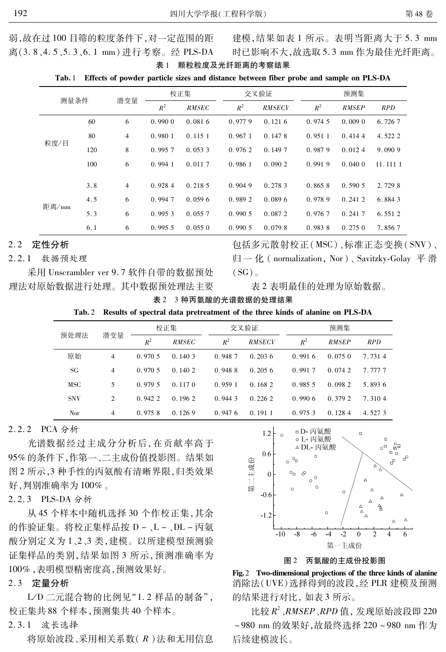建模,结果如表 1 所示。表明当距离大于 5.3 mm 时已影响不大,故选取 5.3 mm 作为最佳光纤距离。

表 1 颗粒粒度及光纤距离的考察结果 Tab. 1 Effects of powder particle sizes and distance between fiber probe and sample on PLS-DA

| 测量条件  |     |                | 校正集    |              |        | 交叉验证          | 预测集    |              |            |  |
|-------|-----|----------------|--------|--------------|--------|---------------|--------|--------------|------------|--|
|       |     | 潜变量            | $R^2$  | <b>RMSEC</b> | $R^2$  | <b>RMSECV</b> | $R^2$  | <b>RMSEP</b> | <b>RPD</b> |  |
| 粒度/目  | 60  | 6              | 0.9900 | 0.0816       | 0.9779 | 0.1216        | 0.9745 | 0.0090       | 6.7267     |  |
|       | 80  | $\overline{4}$ | 0.9801 | 0.1151       | 0.9671 | 0.1478        | 0.9511 | 0.4144       | 4.522 2    |  |
|       | 120 | 8              | 0.9957 | 0.0533       | 0.9762 | 0.1497        | 0.9879 | 0.0124       | 9.0909     |  |
|       | 100 | 6              | 0.9941 | 0.0117       | 0.9861 | 0.0902        | 0.9919 | 0.0400       | 11.111 1   |  |
|       |     |                |        |              |        |               |        |              |            |  |
|       | 3.8 | $\overline{4}$ | 0.9284 | 0.2185       | 0.9049 | 0.2783        | 0.8658 | 0.5905       | 2.729 8    |  |
| 距离/mm | 4.5 | 6              | 0.9947 | 0.0596       | 0.9892 | 0.0896        | 0.9789 | 0.2412       | 6.8843     |  |
|       | 5.3 | 6              | 0.9953 | 0.0557       | 0.9905 | 0.0872        | 0.9767 | 0.2417       | 6.5512     |  |
|       | 6.1 | 6              | 0.9955 | 0.0550       | 0.9905 | 0.0798        | 0.9838 | 0.2750       | 7.8567     |  |

#### 定性分析  $2.2$

#### $2.2.1$ 教据预处理

采用 Unscrambler ver 9.7 软件自带的数据预处 理法对原始数据进行处理。其中数据预处理法主要 包括多元散射校正(MSC)、标准正态变换(SNV)、 归一化 (normalization, Nor), Savitzky-Golay 平滑  $(SG)$ 

表 2 表明最佳的处理为原始数据。

3 种丙氨酸的光谱数据的处理结果 表 2

 $Tab.2$ Results of spectral data pretreatment of the three kinds of alanine on PLS-DA

| 预处理法       | 潜变量            |        | 校正集          |        | 交叉验证          | 预测集     |              |            |  |
|------------|----------------|--------|--------------|--------|---------------|---------|--------------|------------|--|
|            |                | $R^2$  | <b>RMSEC</b> | $R^2$  | <b>RMSECV</b> | $R^2$   | <b>RMSEP</b> | <i>RPD</i> |  |
| 原始         | $\overline{4}$ | 0.9705 | 0.1403       | 0.9487 | 0.2036        | 0.9916  | 0.0750       | 7.7314     |  |
| SG.        | 4              | 0.9705 | 0.1402       | 0.9488 | 0.2056        | 0.9917  | 0.0742       | 7 777 7    |  |
| MSC        | 5              | 0.9795 | 0.1170       | 0.9591 | 0.1682        | 0.985.5 | 0.0982       | 5.8936     |  |
| <b>SNV</b> | $\overline{2}$ | 0.9422 | 0.1962       | 0.9443 | 0.2262        | 0.9906  | 0.3792       | 7.3104     |  |
| Nor        | 4              | 0.9758 | 0.1269       | 0.9476 | 0.1911        | 0.975.3 | 0.1284       | 4.5273     |  |

# 2.2.2 PCA 分析

光谱数据经过主成分分析后,在贡献率高于 95%的条件下,作第一、二主成份值投影图。结果如 图 2 所示, 3 种手性的丙氨酸有清晰界限, 归类效果 好,判别准确率为100%。

2.2.3 PLS-DA 分析

从45个样本中随机选择30个作校正集,其余 的作验证集。将校正集样品按 D -、L -、DL - 丙氨 酸分别定义为1、2、3类,建模。以所建模型预测验 证集样品的类别,结果如图 3 所示,预测准确率为 100%, 表明模型精密度高, 预测效果好。

### 2.3 定量分析

L/D 二元混合物的比例见"1.2 样品的制备", 校正集共 88 个样本, 预测集共 40 个样本。

#### $2, 3, 1$ 波长选择

将原始波段、采用相关系数(R)法和无用信息



图2 丙氨酸的主成份投影图

Fig. 2 Two-dimensional projections of the three kinds of alanine 消除法(UVE) 选择得到的波段, 经PLR 建模及预测 的结果进行对比,如表3所示。

比较 $R^2$ 、RMSEP、RPD值,发现原始波段即220 ~980 nm 的效果好, 故最终选择 220~980 nm 作为 后续建模波长。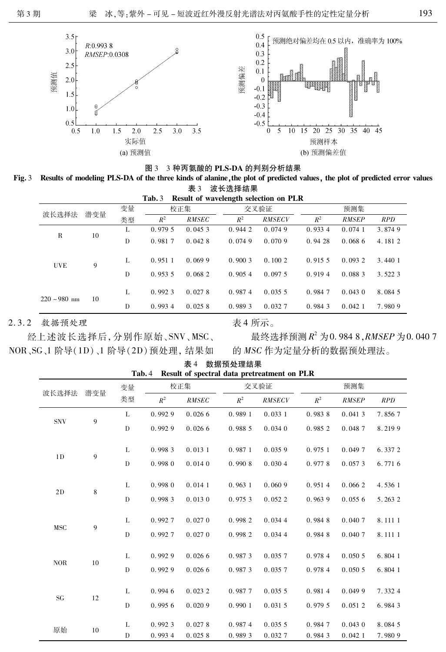

图 3 3 种丙氨酸的 PLS-DA 的判别分析结果

Fig. 3 Results of modeling PLS-DA of the three kinds of alanine, the plot of predicted values, the plot of predicted error values 表 3 波长选择结果

| $0.5$ $0.8$ $0.5$ $0.7$ $0.7$                  |     |    |        |              |        |               |         |              |            |  |  |
|------------------------------------------------|-----|----|--------|--------------|--------|---------------|---------|--------------|------------|--|--|
| Result of wavelength selection on PLR<br>Tab.3 |     |    |        |              |        |               |         |              |            |  |  |
| 波长选择法                                          | 潜变量 | 变量 | 校正集    |              |        | 交叉验证          | 预测集     |              |            |  |  |
|                                                |     | 类型 | $R^2$  | <b>RMSEC</b> | $R^2$  | <b>RMSECV</b> | $R^2$   | <b>RMSEP</b> | <b>RPD</b> |  |  |
| R                                              | 10  | L  | 0.9795 | 0.0453       | 0.9442 | 0.0749        | 0.9334  | 0.0741       | 3.8749     |  |  |
|                                                |     | D  | 0.9817 | 0.0428       | 0.0749 | 0.0709        | 0.9428  | 0.0686       | 4.1812     |  |  |
| <b>UVE</b>                                     | 9   | L  | 0.9511 | 0.0699       | 0.9003 | 0.1002        | 0.915.5 | 0.0932       | 3.440 1    |  |  |
|                                                |     | D  | 0.9535 | 0.0682       | 0.9054 | 0.0975        | 0.9194  | 0.0883       | 3.5223     |  |  |
| $220 \sim 980 \; \text{nm}$                    | 10  | L  | 0.9923 | 0.0278       | 0.9874 | 0.0355        | 0.9847  | 0.0430       | 8.084 5    |  |  |
|                                                |     | D  | 0.9934 | 0.0258       | 0.9893 | 0.0327        | 0.9843  | 0.0421       | 7.9809     |  |  |

2.3.2 数据预处理

经上述波长选择后,分别作原始、SNV、MSC、 NOR、SG、1 阶导(1D)、1 阶导(2D)预处理, 结果如 表 4 所示。

最终选择预测  $R^2$  为 0.984 8, RMSEP 为 0.040 7 的 MSC 作为定量分析的数据预处理法。

| 波长选择法          |     | 变量           | 校正集    |              |        | 交叉验证          | 预测集     |              |            |  |
|----------------|-----|--------------|--------|--------------|--------|---------------|---------|--------------|------------|--|
|                | 潜变量 | 类型           | $R^2$  | <b>RMSEC</b> | $R^2$  | <b>RMSECV</b> | $R^2$   | <b>RMSEP</b> | <b>RPD</b> |  |
| <b>SNV</b>     | 9   | L            | 0.9929 | 0.0266       | 0.9891 | 0.0331        | 0.9838  | 0.0413       | 7.8567     |  |
|                |     | $\mathbf D$  | 0.9929 | 0.0266       | 0.9885 | 0.0340        | 0.985 2 | 0.0487       | 8.2199     |  |
| 1 <sub>D</sub> | 9   | L            | 0.9983 | 0.0131       | 0.9871 | 0.0359        | 0.9751  | 0.0497       | 6.3372     |  |
|                |     | D            | 0.9980 | 0.0140       | 0.9908 | 0.0304        | 0.9778  | 0.0573       | 6.7716     |  |
| 2D             | 8   | L            | 0.9980 | 0.0141       | 0.9631 | 0.0609        | 0.9514  | 0.0662       | 4.536 1    |  |
|                |     | $\mathbf{D}$ | 0.9983 | 0.0130       | 0.9753 | 0.0522        | 0.9639  | 0.0556       | 5.2632     |  |
| <b>MSC</b>     | 9   | L            | 0.9927 | 0.0270       | 0.9982 | 0.0344        | 0.9848  | 0.0407       | 8.1111     |  |
|                |     | $\mathbf{D}$ | 0.9927 | 0.0270       | 0.9982 | 0.0344        | 0.9848  | 0.0407       | 8.1111     |  |
| <b>NOR</b>     | 10  | L            | 0.9929 | 0.0266       | 0.9873 | 0.0357        | 0.9784  | 0.0505       | 6.8041     |  |
|                |     | D            | 0.9929 | 0.0266       | 0.9873 | 0.0357        | 0.9784  | 0.0505       | 6.8041     |  |
| <b>SG</b>      | 12  | L            | 0.9946 | 0.023 2      | 0.9877 | 0.0355        | 0.9814  | 0.0499       | 7.3324     |  |
|                |     | $\mathbf D$  | 0.9956 | 0.0209       | 0.9901 | 0.0315        | 0.9795  | 0.0512       | 6.9843     |  |
| 原始             | 10  | L            | 0.9923 | 0.0278       | 0.9874 | 0.0355        | 0.9847  | 0.0430       | 8.084 5    |  |
|                |     | D            | 0.9934 | 0.0258       | 0.9893 | 0.0327        | 0.9843  | 0.0421       | 7.9809     |  |

表 4 数据预处理结果 Result of spectral data pretreatment on PLR Tab. 4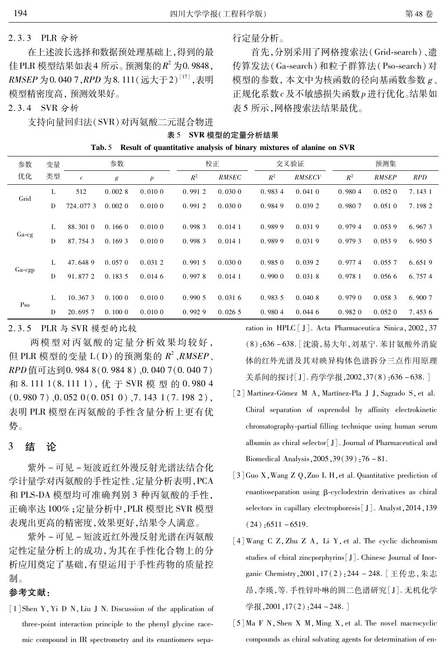#### PLR 分析  $2.3.3$

在上述波长选择和数据预处理基础上,得到的最 佳 PLR 模型结果如表 4 所示。预测集的 $R^2$  为 0.9848, RMSEP 为 0.040 7, RPD 为 8.111 (远大于2)<sup>[17]</sup>, 表明 模型精密度高, 预测效果好。

2.3.4 SVR 分析

支持向量回归法(SVR)对丙氨酸二元混合物进

行定量分析。

首先,分别采用了网格搜索法(Grid-search)、遗 传算发法(Ga-search)和粒子群算法(Pso-search)对 模型的参数, 本文中为核函数的径向基函数参数 g、 正规化系数c及不敏感损失函数p进行优化。结果如 表 5 所示, 网格搜索法结果最优。

| 表 5 SVR 模型的定量分析结果                                                           |
|-----------------------------------------------------------------------------|
| Fab. 5 Result of quantitative analysis of binary mixtures of alanine on SVR |

| 参数              | 变量 | 参数         |                  |                  |        | 校正           |        | 交叉验证          |        | 预测集          |            |  |
|-----------------|----|------------|------------------|------------------|--------|--------------|--------|---------------|--------|--------------|------------|--|
| 优化              | 类型 | $\epsilon$ | $\boldsymbol{g}$ | $\boldsymbol{p}$ | $R^2$  | <b>RMSEC</b> | $R^2$  | <b>RMSECV</b> | $R^2$  | <b>RMSEP</b> | <b>RPD</b> |  |
| Grid            | L  | 512        | 0.0028           | 0.0100           | 0.9912 | 0.0300       | 0.9834 | 0.0410        | 0.9804 | 0.0520       | 7.143 1    |  |
|                 | D  | 724, 077 3 | 0.0020           | 0.0100           | 0.9912 | 0.0300       | 0.9849 | 0.0392        | 0.9807 | 0.0510       | 7.1982     |  |
|                 | L  | 88.3010    | 0.1660           | 0.0100           | 0.9983 | 0.0141       | 0.9899 | 0.0319        | 0.9794 | 0.0539       | 6.9673     |  |
| $Ga-cg$         | D  | 87.7543    | 0.1693           | 0.0100           | 0.9983 | 0.0141       | 0.9899 | 0.0319        | 0.9793 | 0.0539       | 6.950 5    |  |
|                 | L  | 47.6489    | 0.0570           | 0.0312           | 0.9915 | 0.0300       | 0.9850 | 0.0392        | 0.9774 | 0.0557       | 6.6519     |  |
| $Ga$ -cgp       | D  | 91.8772    | 0.1835           | 0.0146           | 0.9978 | 0.0141       | 0.9900 | 0.0318        | 0.9781 | 0.0566       | 6.7574     |  |
|                 | L  | 10.3673    | 0.1000           | 0.0100           | 0.9905 | 0.0316       | 0.9835 | 0.0408        | 0.9790 | 0.0583       | 6.9007     |  |
| P <sub>SO</sub> | D  | 20.6957    | 0.1000           | 0.0100           | 0.9929 | 0.0265       | 0.9804 | 0.0446        | 0.9820 | 0.0520       | 7.4536     |  |

### 2.3.5 PLR 与 SVR 模型的比较

两模型对丙氨酸的定量分析效果均较好, 但 PLR 模型的变量 L(D)的预测集的  $R^2$ 、RMSEP、 RPD 值可达到0.984 8(0.984 8)、0.040 7(0.040 7) 和 8.111 1(8.111 1), 优 于 SVR 模 型 的 0.980 4  $(0.9807)$ ,  $0.0520(0.0510)$ ,  $7.1431(7.1982)$ , 表明 PLR 模型在丙氨酸的手性含量分析上更有优 势。

#### 3 结 论

紫外-可见-短波近红外漫反射光谱法结合化 学计量学对丙氨酸的手性定性、定量分析表明, PCA 和 PLS-DA 模型均可准确判别 3 种丙氨酸的手性, 正确率达100%; 定量分析中, PLR 模型比 SVR 模型 表现出更高的精密度,效果更好,结果令人满意。

紫外-可见-短波近红外漫反射光谱在丙氨酸 定性定量分析上的成功,为其在手性化合物上的分 析应用奠定了基础,有望运用于手性药物的质量控 制。

# 参考文献:

[1] Shen Y, Yi D N, Liu J N. Discussion of the application of three-point interaction principle to the phenyl glycine racemic compound in IR spectrometry and its enantiomers separation in HPLC [J]. Acta Pharmaceutica Sinica, 2002, 37 (8):636-638. [沈漪,易大年,刘基宁. 苯甘氨酸外消旋 体的红外光谱及其对映异构体色谱拆分三点作用原理 关系间的探讨[J]. 药学学报, 2002, 37(8): 636-638.]

- [2] Martinez-Gómez M A, Martínez-Pla J J, Sagrado S, et al. Chiral separation of oxprenolol by affinity electrokinetic chromatography-partial filling technique using human serum albumin as chiral selector [J]. Journal of Pharmaceutical and Biomedical Analysis, 2005, 39(39): 76 - 81.
- [3] Guo X, Wang Z Q, Zuo L H, et al. Quantitative prediction of enantioseparation using  $\beta$ -cyclodextrin derivatives as chiral selectors in capillary electrophoresis [J]. Analyst, 2014, 139  $(24)$ : 6511 - 6519.
- [4] Wang C Z, Zhu Z A, Li Y, et al. The cyclic dichromism studies of chiral zincporphyrins [J]. Chinese Journal of Inorganic Chemistry, 2001, 17(2): 244 - 248. [王传忠, 朱志 昂,李瑛,等. 手性锌卟啉的圆二色谱研究[J]. 无机化学 学报,  $2001$ ,  $17(2)$ ,  $244 - 248$ .
- [5] Ma F N, Shen X M, Ming X, et al. The novel macrocyclic compounds as chiral solvating agents for determination of en-